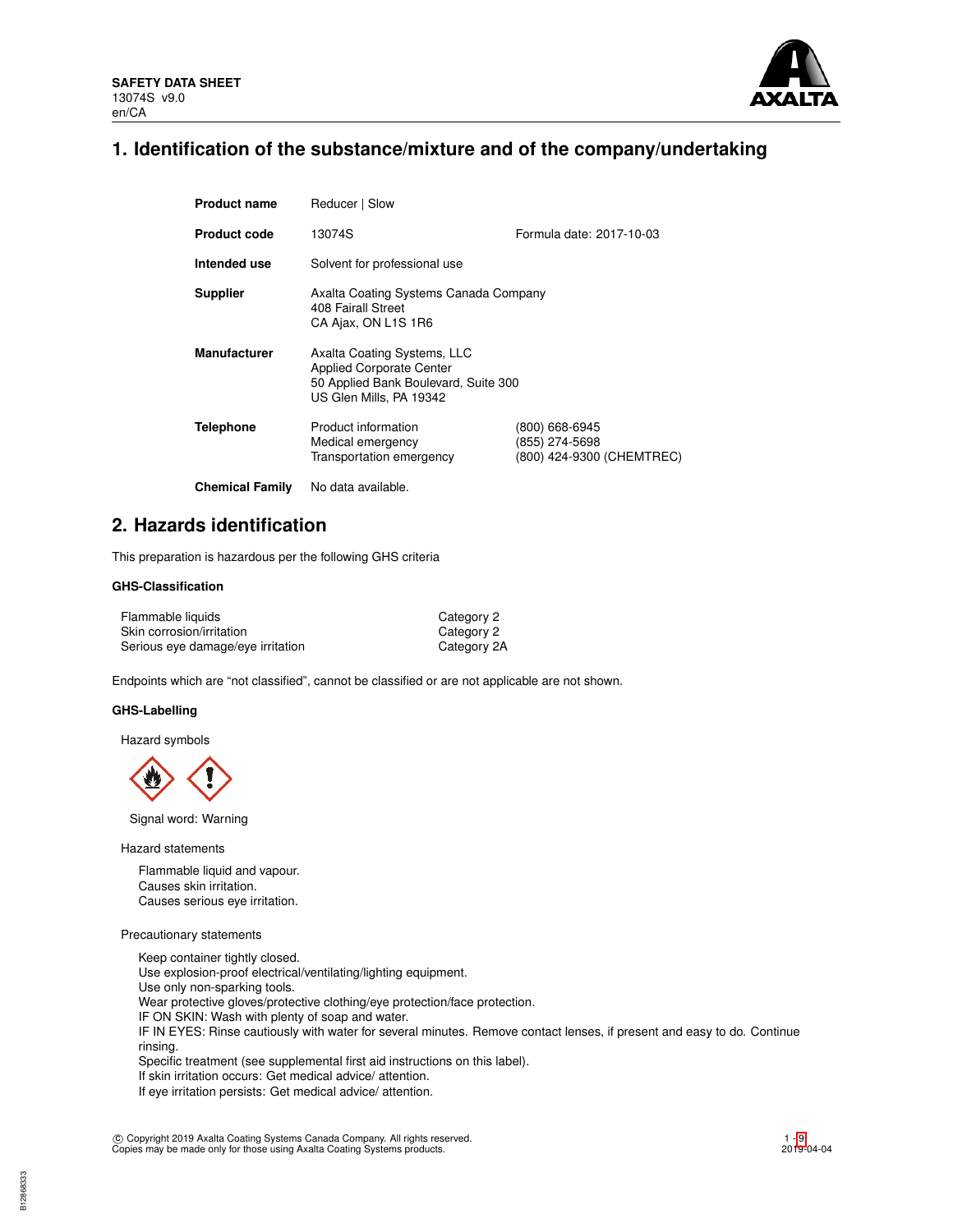

# **1. Identification of the substance/mixture and of the company/undertaking**

| <b>Product name</b>    | Reducer   Slow                                                                                                                    |                                                               |  |  |  |
|------------------------|-----------------------------------------------------------------------------------------------------------------------------------|---------------------------------------------------------------|--|--|--|
| <b>Product code</b>    | Formula date: 2017-10-03<br>13074S                                                                                                |                                                               |  |  |  |
| Intended use           | Solvent for professional use                                                                                                      |                                                               |  |  |  |
| <b>Supplier</b>        | Axalta Coating Systems Canada Company<br>408 Fairall Street<br>CA Ajax, ON L1S 1R6                                                |                                                               |  |  |  |
| <b>Manufacturer</b>    | Axalta Coating Systems, LLC<br><b>Applied Corporate Center</b><br>50 Applied Bank Boulevard, Suite 300<br>US Glen Mills, PA 19342 |                                                               |  |  |  |
| <b>Telephone</b>       | Product information<br>Medical emergency<br>Transportation emergency                                                              | (800) 668-6945<br>(855) 274-5698<br>(800) 424-9300 (CHEMTREC) |  |  |  |
| <b>Chemical Family</b> | No data available.                                                                                                                |                                                               |  |  |  |

# **2. Hazards identification**

This preparation is hazardous per the following GHS criteria

## **GHS-Classification**

| Flammable liquids                 | Category 2  |
|-----------------------------------|-------------|
| Skin corrosion/irritation         | Category 2  |
| Serious eye damage/eye irritation | Category 2A |

Endpoints which are "not classified", cannot be classified or are not applicable are not shown.

#### **GHS-Labelling**

Hazard symbols

Signal word: Warning

Hazard statements

Flammable liquid and vapour. Causes skin irritation. Causes serious eye irritation.

## Precautionary statements

Keep container tightly closed. Use explosion-proof electrical/ventilating/lighting equipment. Use only non-sparking tools. Wear protective gloves/protective clothing/eye protection/face protection. IF ON SKIN: Wash with plenty of soap and water. IF IN EYES: Rinse cautiously with water for several minutes. Remove contact lenses, if present and easy to do. Continue rinsing. Specific treatment (see supplemental first aid instructions on this label). If skin irritation occurs: Get medical advice/ attention.

If eye irritation persists: Get medical advice/ attention.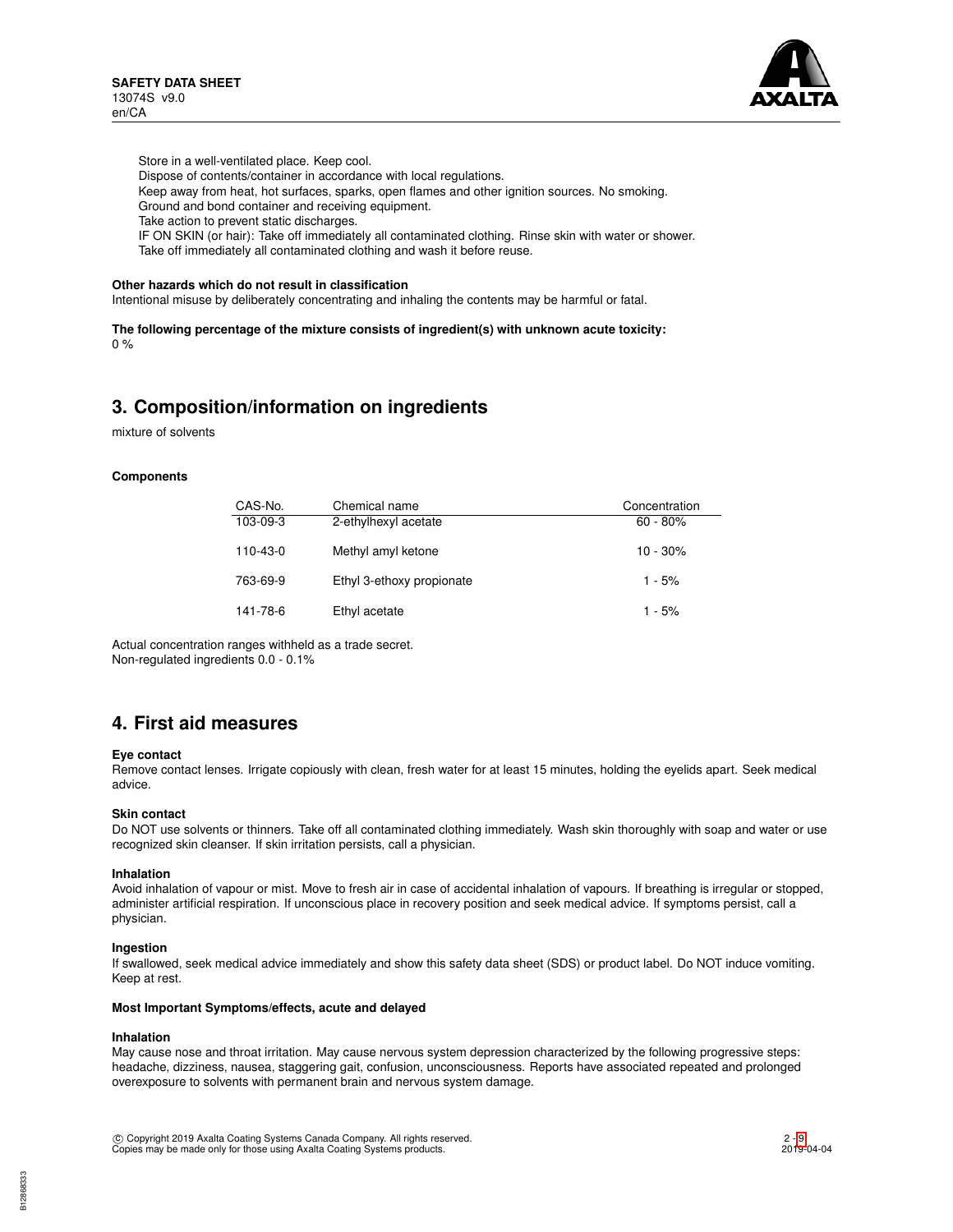

Store in a well-ventilated place. Keep cool.

Dispose of contents/container in accordance with local regulations.

Keep away from heat, hot surfaces, sparks, open flames and other ignition sources. No smoking.

Ground and bond container and receiving equipment.

Take action to prevent static discharges.

IF ON SKIN (or hair): Take off immediately all contaminated clothing. Rinse skin with water or shower. Take off immediately all contaminated clothing and wash it before reuse.

#### **Other hazards which do not result in classification**

Intentional misuse by deliberately concentrating and inhaling the contents may be harmful or fatal.

**The following percentage of the mixture consists of ingredient(s) with unknown acute toxicity:** 0 %

# **3. Composition/information on ingredients**

mixture of solvents

#### **Components**

| CAS-No.  | Chemical name             | Concentration |
|----------|---------------------------|---------------|
| 103-09-3 | 2-ethylhexyl acetate      | $60 - 80%$    |
| 110-43-0 | Methyl amyl ketone        | $10 - 30%$    |
| 763-69-9 | Ethyl 3-ethoxy propionate | $1 - 5%$      |
| 141-78-6 | Ethyl acetate             | $1 - 5%$      |

Actual concentration ranges withheld as a trade secret. Non-regulated ingredients 0.0 - 0.1%

# **4. First aid measures**

#### **Eye contact**

Remove contact lenses. Irrigate copiously with clean, fresh water for at least 15 minutes, holding the eyelids apart. Seek medical advice.

#### **Skin contact**

Do NOT use solvents or thinners. Take off all contaminated clothing immediately. Wash skin thoroughly with soap and water or use recognized skin cleanser. If skin irritation persists, call a physician.

#### **Inhalation**

Avoid inhalation of vapour or mist. Move to fresh air in case of accidental inhalation of vapours. If breathing is irregular or stopped, administer artificial respiration. If unconscious place in recovery position and seek medical advice. If symptoms persist, call a physician.

#### **Ingestion**

If swallowed, seek medical advice immediately and show this safety data sheet (SDS) or product label. Do NOT induce vomiting. Keep at rest.

#### **Most Important Symptoms/effects, acute and delayed**

#### **Inhalation**

May cause nose and throat irritation. May cause nervous system depression characterized by the following progressive steps: headache, dizziness, nausea, staggering gait, confusion, unconsciousness. Reports have associated repeated and prolonged overexposure to solvents with permanent brain and nervous system damage.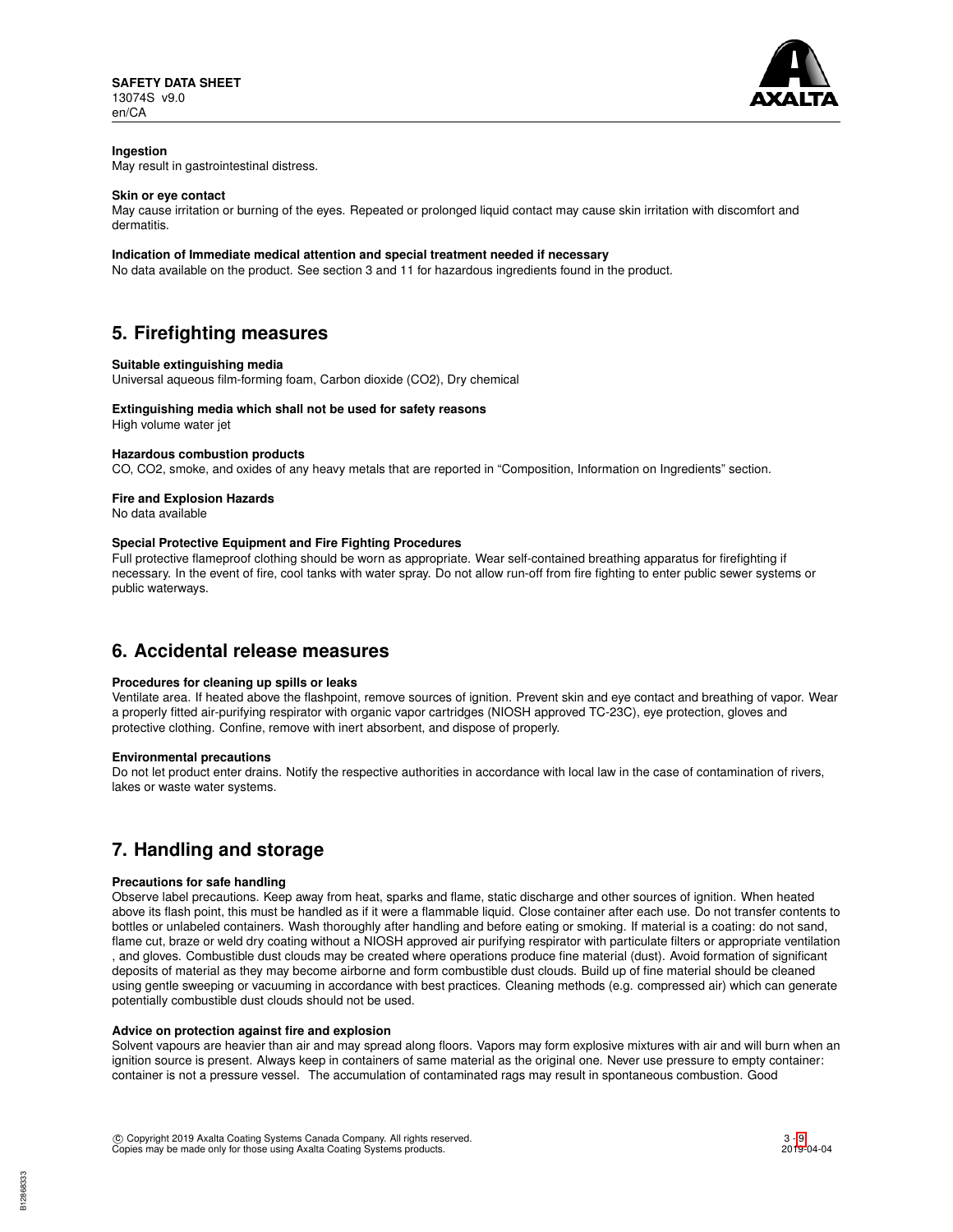

## **Ingestion**

May result in gastrointestinal distress.

#### **Skin or eye contact**

May cause irritation or burning of the eyes. Repeated or prolonged liquid contact may cause skin irritation with discomfort and dermatitis.

### **Indication of Immediate medical attention and special treatment needed if necessary**

No data available on the product. See section 3 and 11 for hazardous ingredients found in the product.

# **5. Firefighting measures**

#### **Suitable extinguishing media**

Universal aqueous film-forming foam, Carbon dioxide (CO2), Dry chemical

#### **Extinguishing media which shall not be used for safety reasons**

High volume water jet

#### **Hazardous combustion products**

CO, CO2, smoke, and oxides of any heavy metals that are reported in "Composition, Information on Ingredients" section.

## **Fire and Explosion Hazards**

No data available

#### **Special Protective Equipment and Fire Fighting Procedures**

Full protective flameproof clothing should be worn as appropriate. Wear self-contained breathing apparatus for firefighting if necessary. In the event of fire, cool tanks with water spray. Do not allow run-off from fire fighting to enter public sewer systems or public waterways.

# **6. Accidental release measures**

## **Procedures for cleaning up spills or leaks**

Ventilate area. If heated above the flashpoint, remove sources of ignition. Prevent skin and eye contact and breathing of vapor. Wear a properly fitted air-purifying respirator with organic vapor cartridges (NIOSH approved TC-23C), eye protection, gloves and protective clothing. Confine, remove with inert absorbent, and dispose of properly.

#### **Environmental precautions**

Do not let product enter drains. Notify the respective authorities in accordance with local law in the case of contamination of rivers, lakes or waste water systems.

# **7. Handling and storage**

#### **Precautions for safe handling**

Observe label precautions. Keep away from heat, sparks and flame, static discharge and other sources of ignition. When heated above its flash point, this must be handled as if it were a flammable liquid. Close container after each use. Do not transfer contents to bottles or unlabeled containers. Wash thoroughly after handling and before eating or smoking. If material is a coating: do not sand, flame cut, braze or weld dry coating without a NIOSH approved air purifying respirator with particulate filters or appropriate ventilation , and gloves. Combustible dust clouds may be created where operations produce fine material (dust). Avoid formation of significant deposits of material as they may become airborne and form combustible dust clouds. Build up of fine material should be cleaned using gentle sweeping or vacuuming in accordance with best practices. Cleaning methods (e.g. compressed air) which can generate potentially combustible dust clouds should not be used.

#### **Advice on protection against fire and explosion**

Solvent vapours are heavier than air and may spread along floors. Vapors may form explosive mixtures with air and will burn when an ignition source is present. Always keep in containers of same material as the original one. Never use pressure to empty container: container is not a pressure vessel. The accumulation of contaminated rags may result in spontaneous combustion. Good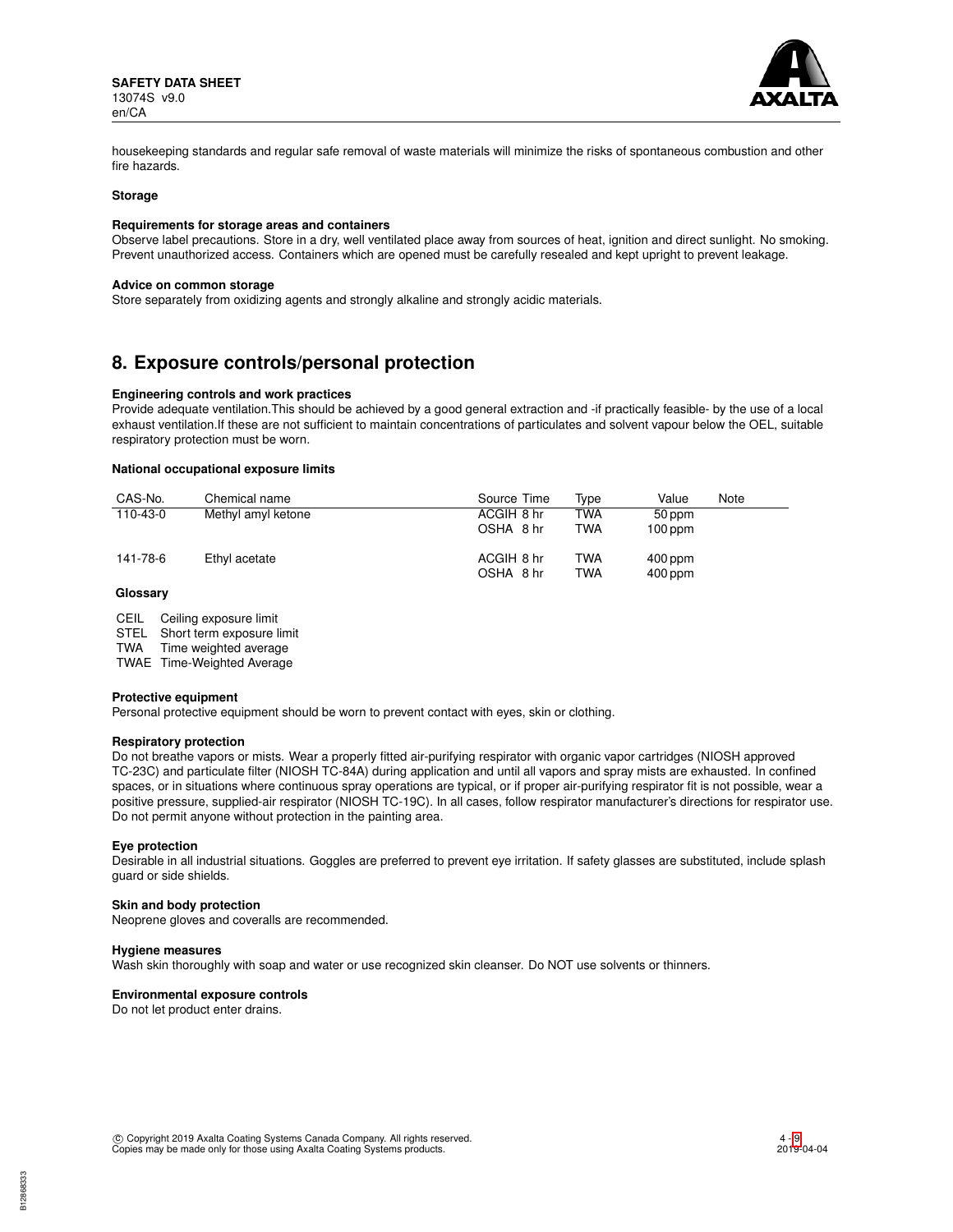

housekeeping standards and regular safe removal of waste materials will minimize the risks of spontaneous combustion and other fire hazards.

#### **Storage**

#### **Requirements for storage areas and containers**

Observe label precautions. Store in a dry, well ventilated place away from sources of heat, ignition and direct sunlight. No smoking. Prevent unauthorized access. Containers which are opened must be carefully resealed and kept upright to prevent leakage.

#### **Advice on common storage**

Store separately from oxidizing agents and strongly alkaline and strongly acidic materials.

# **8. Exposure controls/personal protection**

### **Engineering controls and work practices**

Provide adequate ventilation.This should be achieved by a good general extraction and -if practically feasible- by the use of a local exhaust ventilation.If these are not sufficient to maintain concentrations of particulates and solvent vapour below the OEL, suitable respiratory protection must be worn.

### **National occupational exposure limits**

| CAS-No.  | Chemical name      | Source Time | Tvpe       | Value     | Note |
|----------|--------------------|-------------|------------|-----------|------|
| 110-43-0 | Methyl amyl ketone | ACGIH 8 hr  | <b>TWA</b> | 50 ppm    |      |
|          |                    | OSHA 8 hr   | TWA        | $100$ ppm |      |
| 141-78-6 | Ethyl acetate      | ACGIH 8 hr  | <b>TWA</b> | $400$ ppm |      |
|          |                    | OSHA 8 hr   | <b>TWA</b> | $400$ ppm |      |

### **Glossary**

STEL Short term exposure limit<br>TWA Time weighted average

Time weighted average

TWAE Time-Weighted Average

#### **Protective equipment**

Personal protective equipment should be worn to prevent contact with eyes, skin or clothing.

#### **Respiratory protection**

Do not breathe vapors or mists. Wear a properly fitted air-purifying respirator with organic vapor cartridges (NIOSH approved TC-23C) and particulate filter (NIOSH TC-84A) during application and until all vapors and spray mists are exhausted. In confined spaces, or in situations where continuous spray operations are typical, or if proper air-purifying respirator fit is not possible, wear a positive pressure, supplied-air respirator (NIOSH TC-19C). In all cases, follow respirator manufacturer's directions for respirator use. Do not permit anyone without protection in the painting area.

#### **Eye protection**

Desirable in all industrial situations. Goggles are preferred to prevent eye irritation. If safety glasses are substituted, include splash guard or side shields.

#### **Skin and body protection**

Neoprene gloves and coveralls are recommended.

#### **Hygiene measures**

Wash skin thoroughly with soap and water or use recognized skin cleanser. Do NOT use solvents or thinners.

#### **Environmental exposure controls**

Do not let product enter drains.

CEIL Ceiling exposure limit<br>STEL Short term exposure l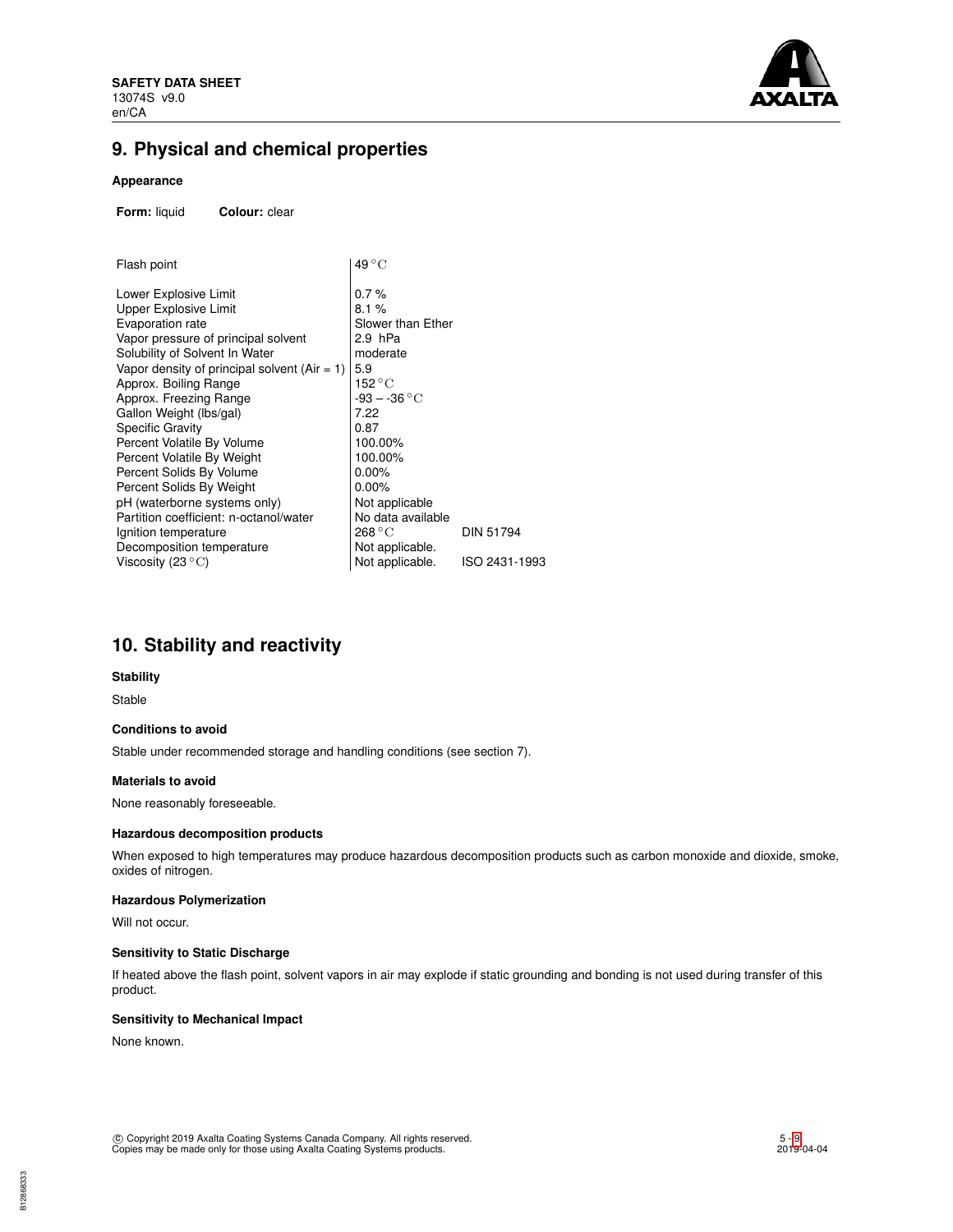

# **9. Physical and chemical properties**

## **Appearance**

**Form:** liquid **Colour:** clear

| Flash point                                     | $49^{\circ}$ C            |                  |
|-------------------------------------------------|---------------------------|------------------|
| Lower Explosive Limit                           | 0.7%                      |                  |
| Upper Explosive Limit                           | 8.1%                      |                  |
| Evaporation rate                                | Slower than Ether         |                  |
| Vapor pressure of principal solvent             | 2.9 hPa                   |                  |
| Solubility of Solvent In Water                  | moderate                  |                  |
| Vapor density of principal solvent (Air $= 1$ ) | 5.9                       |                  |
| Approx. Boiling Range                           | 152 °C                    |                  |
| Approx. Freezing Range                          | $-93 - -36 °C$            |                  |
| Gallon Weight (Ibs/gal)                         | 7.22                      |                  |
| Specific Gravity                                | 0.87                      |                  |
| Percent Volatile By Volume                      | 100.00%                   |                  |
| Percent Volatile By Weight                      | 100.00%                   |                  |
| Percent Solids By Volume                        | $0.00\%$                  |                  |
| Percent Solids By Weight                        | $0.00\%$                  |                  |
| pH (waterborne systems only)                    | Not applicable            |                  |
| Partition coefficient: n-octanol/water          | No data available         |                  |
| Ignition temperature                            | $268\,^{\circ}\mathrm{C}$ | <b>DIN 51794</b> |
| Decomposition temperature                       | Not applicable.           |                  |
| Viscosity (23 $^{\circ}{\rm C}$ )               | Not applicable.           | ISO 2431-1993    |

# **10. Stability and reactivity**

## **Stability**

Stable

# **Conditions to avoid**

Stable under recommended storage and handling conditions (see section 7).

### **Materials to avoid**

None reasonably foreseeable.

#### **Hazardous decomposition products**

When exposed to high temperatures may produce hazardous decomposition products such as carbon monoxide and dioxide, smoke, oxides of nitrogen.

## **Hazardous Polymerization**

Will not occur.

# **Sensitivity to Static Discharge**

If heated above the flash point, solvent vapors in air may explode if static grounding and bonding is not used during transfer of this product.

## **Sensitivity to Mechanical Impact**

None known.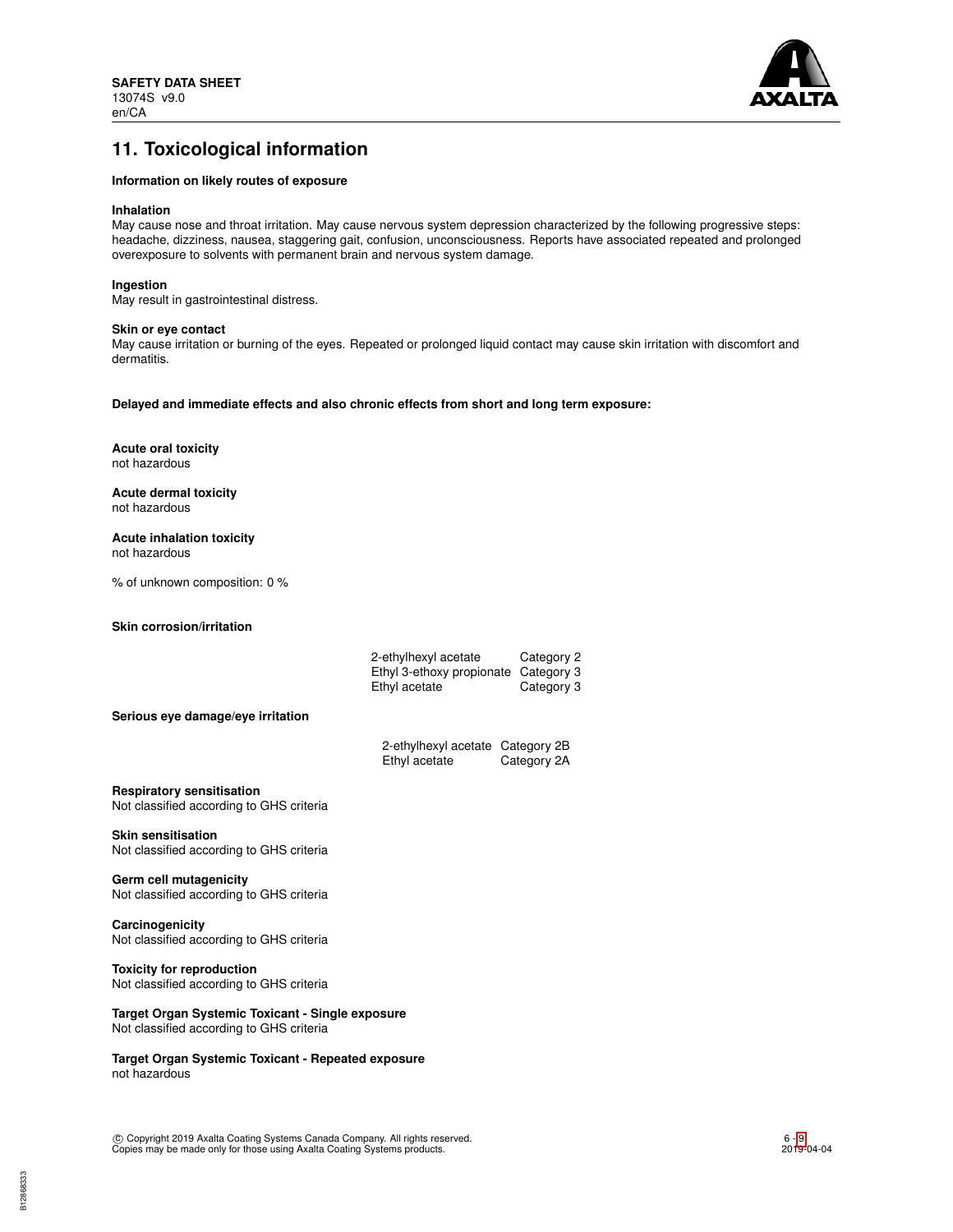

# **11. Toxicological information**

### **Information on likely routes of exposure**

## **Inhalation**

May cause nose and throat irritation. May cause nervous system depression characterized by the following progressive steps: headache, dizziness, nausea, staggering gait, confusion, unconsciousness. Reports have associated repeated and prolonged overexposure to solvents with permanent brain and nervous system damage.

#### **Ingestion**

May result in gastrointestinal distress.

#### **Skin or eye contact**

May cause irritation or burning of the eyes. Repeated or prolonged liquid contact may cause skin irritation with discomfort and dermatitis.

**Delayed and immediate effects and also chronic effects from short and long term exposure:**

**Acute oral toxicity** not hazardous

**Acute dermal toxicity** not hazardous

**Acute inhalation toxicity** not hazardous

% of unknown composition: 0 %

**Skin corrosion/irritation**

|                                                                              | 2-ethylhexyl acetate<br>Category 2<br>Ethyl 3-ethoxy propionate Category 3<br>Ethyl acetate<br>Category 3 |  |
|------------------------------------------------------------------------------|-----------------------------------------------------------------------------------------------------------|--|
| Serious eye damage/eye irritation                                            |                                                                                                           |  |
|                                                                              | 2-ethylhexyl acetate Category 2B<br>Ethyl acetate<br>Category 2A                                          |  |
| <b>Respiratory sensitisation</b><br>Not classified according to GHS criteria |                                                                                                           |  |
| <b>Skin sensitisation</b><br>Not classified according to GHS criteria        |                                                                                                           |  |
| Germ cell mutagenicity<br>Not classified according to GHS criteria           |                                                                                                           |  |
| Carcinogenicity<br>Not classified according to GHS criteria                  |                                                                                                           |  |

**Toxicity for reproduction** Not classified according to GHS criteria

**Target Organ Systemic Toxicant - Single exposure** Not classified according to GHS criteria

**Target Organ Systemic Toxicant - Repeated exposure** not hazardous

c Copyright 2019 Axalta Coating Systems Canada Company. All rights reserved. Copies may be made only for those using Axalta Coating Systems products.

6 - [9](#page-8-0) 2019-04-04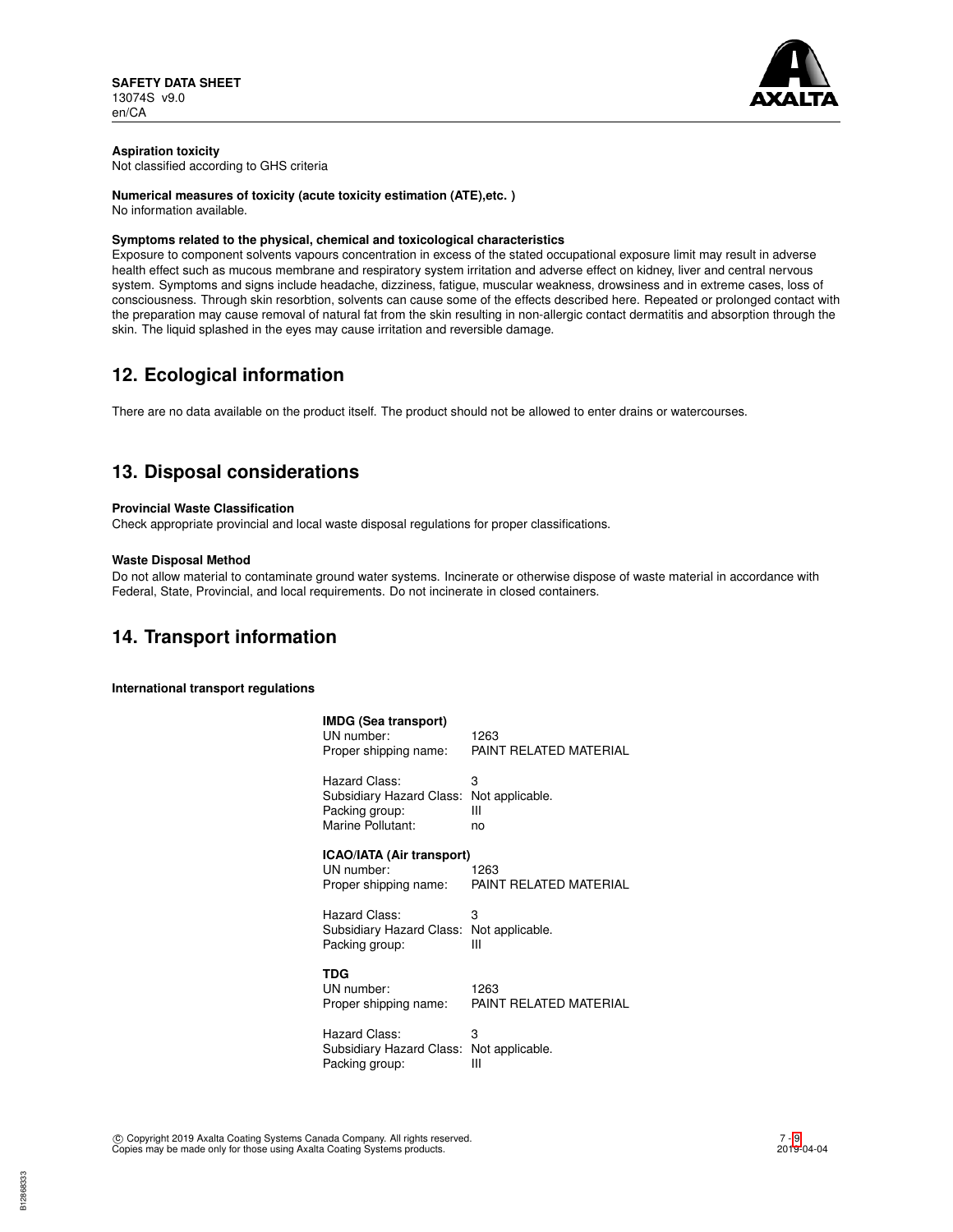

# **Aspiration toxicity**

Not classified according to GHS criteria

## **Numerical measures of toxicity (acute toxicity estimation (ATE),etc. )**

No information available.

### **Symptoms related to the physical, chemical and toxicological characteristics**

Exposure to component solvents vapours concentration in excess of the stated occupational exposure limit may result in adverse health effect such as mucous membrane and respiratory system irritation and adverse effect on kidney, liver and central nervous system. Symptoms and signs include headache, dizziness, fatigue, muscular weakness, drowsiness and in extreme cases, loss of consciousness. Through skin resorbtion, solvents can cause some of the effects described here. Repeated or prolonged contact with the preparation may cause removal of natural fat from the skin resulting in non-allergic contact dermatitis and absorption through the skin. The liquid splashed in the eyes may cause irritation and reversible damage.

# **12. Ecological information**

There are no data available on the product itself. The product should not be allowed to enter drains or watercourses.

# **13. Disposal considerations**

#### **Provincial Waste Classification**

Check appropriate provincial and local waste disposal regulations for proper classifications.

#### **Waste Disposal Method**

Do not allow material to contaminate ground water systems. Incinerate or otherwise dispose of waste material in accordance with Federal, State, Provincial, and local requirements. Do not incinerate in closed containers.

# **14. Transport information**

**International transport regulations**

| <b>IMDG (Sea transport)</b><br>UN number:<br>Proper shipping name:                               | 1263<br>PAINT RELATED MATERIAL |
|--------------------------------------------------------------------------------------------------|--------------------------------|
| Hazard Class:<br>Subsidiary Hazard Class: Not applicable.<br>Packing group:<br>Marine Pollutant: | З<br>Ш<br>no                   |
| ICAO/IATA (Air transport)<br>UN number:<br>Proper shipping name:                                 | 1263<br>PAINT RELATED MATERIAL |
| Hazard Class:<br>Subsidiary Hazard Class: Not applicable.<br>Packing group:                      | 3<br>Ш                         |
| TDG<br>UN number:<br>Proper shipping name:                                                       | 1263<br>PAINT RELATED MATERIAL |
| Hazard Class:<br>Subsidiary Hazard Class:                                                        | 3<br>Not applicable.           |

Packing group: III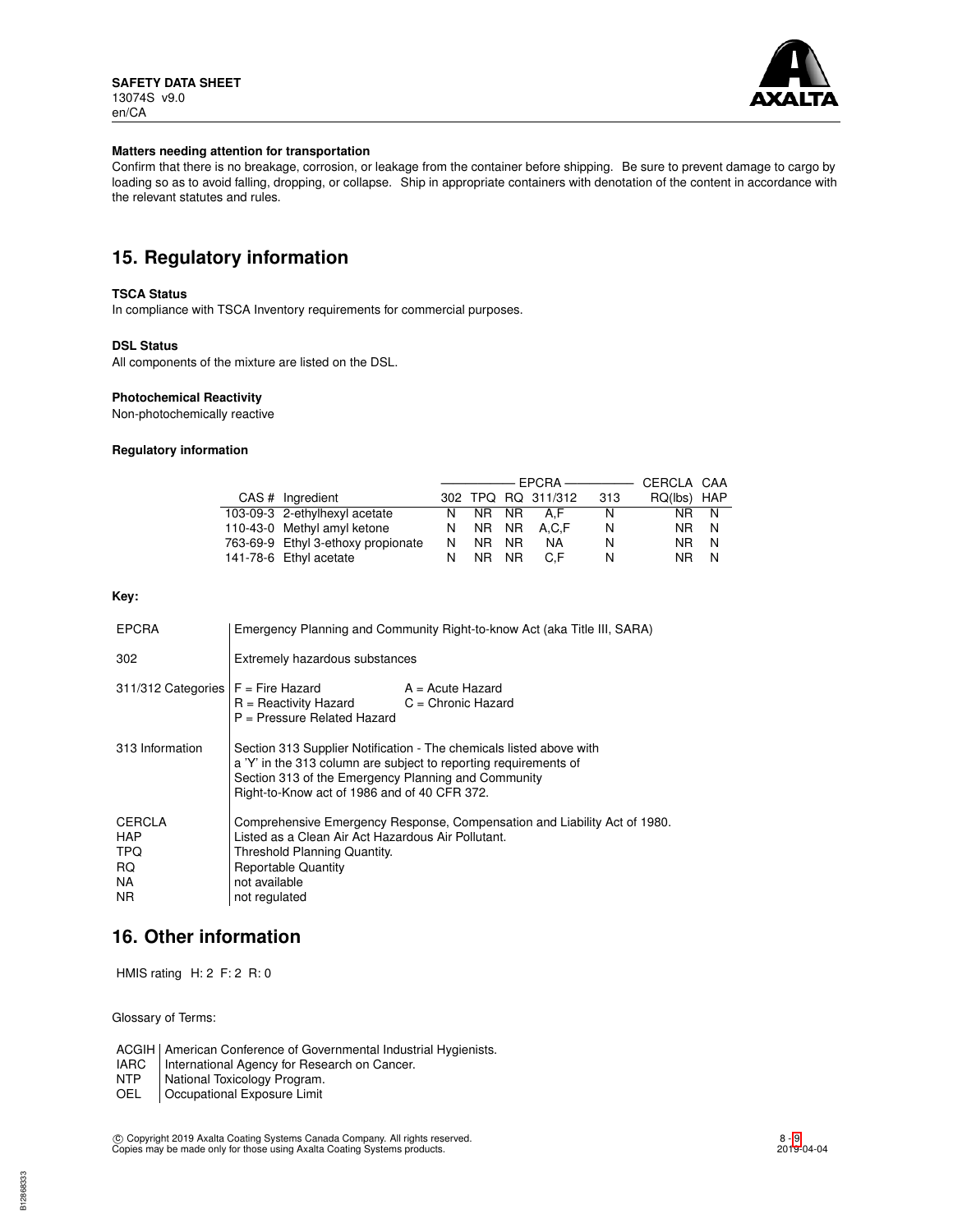

#### **Matters needing attention for transportation**

Confirm that there is no breakage, corrosion, or leakage from the container before shipping. Be sure to prevent damage to cargo by loading so as to avoid falling, dropping, or collapse. Ship in appropriate containers with denotation of the content in accordance with the relevant statutes and rules.

# **15. Regulatory information**

#### **TSCA Status**

In compliance with TSCA Inventory requirements for commercial purposes.

#### **DSL Status**

All components of the mixture are listed on the DSL.

#### **Photochemical Reactivity**

Non-photochemically reactive

#### **Regulatory information**

|                                    |    |       |     |                    | ———————————————————— | CERCLA CAA  |     |
|------------------------------------|----|-------|-----|--------------------|----------------------|-------------|-----|
| CAS # Ingredient                   |    |       |     | 302 TPQ RQ 311/312 | 313                  | RQ(lbs) HAP |     |
| 103-09-3 2-ethylhexyl acetate      | N. |       |     | NR NR AF           | N                    | NR I        | - N |
| 110-43-0 Methyl amyl ketone        | N. | NR NR |     | A.C.F              | N                    | NR.         | N   |
| 763-69-9 Ethyl 3-ethoxy propionate | N. | NR.   | NR. | NA                 | N                    | NR.         | N   |
| 141-78-6 Ethyl acetate             |    | NR NR |     | C.F                | N                    | NR.         | N   |

### **Key:**

| <b>EPCRA</b>                                                   | Emergency Planning and Community Right-to-know Act (aka Title III, SARA)                                                                                                                                                                       |                  |  |
|----------------------------------------------------------------|------------------------------------------------------------------------------------------------------------------------------------------------------------------------------------------------------------------------------------------------|------------------|--|
| 302                                                            | Extremely hazardous substances                                                                                                                                                                                                                 |                  |  |
| $311/312$ Categories $F =$ Fire Hazard                         | $R =$ Reactivity Hazard $C =$ Chronic Hazard<br>$P =$ Pressure Related Hazard                                                                                                                                                                  | A = Acute Hazard |  |
| 313 Information                                                | Section 313 Supplier Notification - The chemicals listed above with<br>a 'Y' in the 313 column are subject to reporting requirements of<br>Section 313 of the Emergency Planning and Community<br>Right-to-Know act of 1986 and of 40 CFR 372. |                  |  |
| <b>CERCLA</b><br><b>HAP</b><br><b>TPQ</b><br>RQ.<br>NA.<br>NR. | Comprehensive Emergency Response, Compensation and Liability Act of 1980.<br>Listed as a Clean Air Act Hazardous Air Pollutant.<br>Threshold Planning Quantity.<br><b>Reportable Quantity</b><br>not available<br>not regulated                |                  |  |

# **16. Other information**

HMIS rating H: 2 F: 2 R: 0

Glossary of Terms:

ACGIH | American Conference of Governmental Industrial Hygienists.<br>
IARC | International Agency for Research on Cancer.

NTP National Toxicology Program.<br>OEL Occupational Exposure Limit

Occupational Exposure Limit

IARC | International Agency for Research on Cancer.<br>NTP | National Toxicology Program.